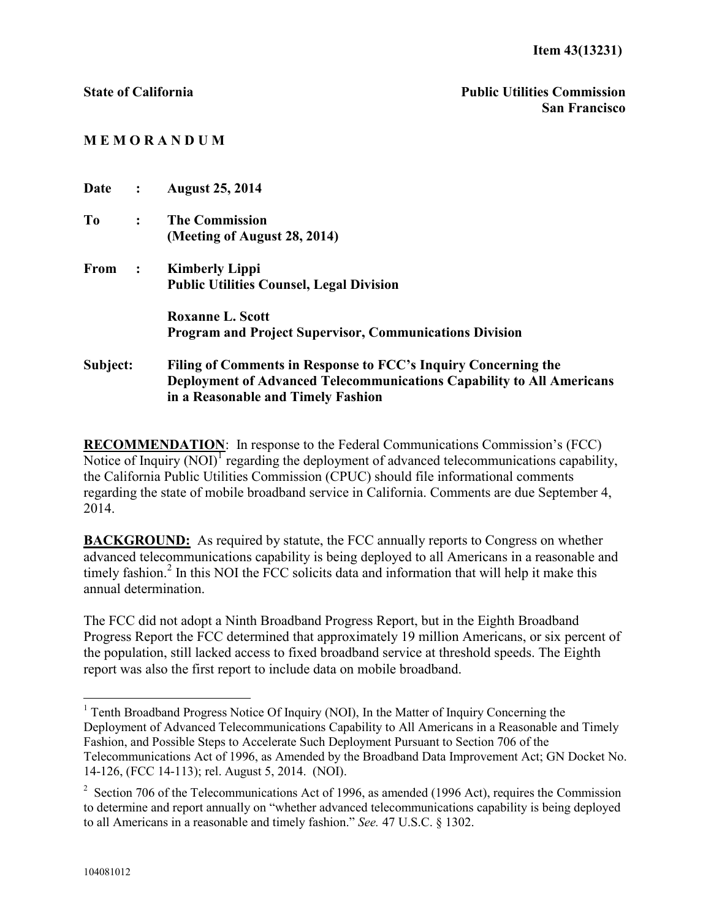## **M E M O R A N D U M**

| Date     | $\ddot{\cdot}$       | <b>August 25, 2014</b>                                                       |
|----------|----------------------|------------------------------------------------------------------------------|
| To       | $\ddot{\cdot}$       | <b>The Commission</b>                                                        |
|          |                      | (Meeting of August 28, 2014)                                                 |
| From     | $\ddot{\phantom{1}}$ | <b>Kimberly Lippi</b>                                                        |
|          |                      | <b>Public Utilities Counsel, Legal Division</b>                              |
|          |                      | <b>Roxanne L. Scott</b>                                                      |
|          |                      | <b>Program and Project Supervisor, Communications Division</b>               |
| Subject: |                      | Filing of Comments in Response to FCC's Inquiry Concerning the               |
|          |                      | <b>Deployment of Advanced Telecommunications Capability to All Americans</b> |
|          |                      | in a Reasonable and Timely Fashion                                           |

**RECOMMENDATION**: In response to the Federal Communications Commission's (FCC) Notice of Inquiry  $(NOI)^T$  regarding the deployment of advanced telecommunications capability, the California Public Utilities Commission (CPUC) should file informational comments regarding the state of mobile broadband service in California. Comments are due September 4, 2014.

**BACKGROUND:** As required by statute, the FCC annually reports to Congress on whether advanced telecommunications capability is being deployed to all Americans in a reasonable and timely fashion.<sup>2</sup> In this NOI the FCC solicits data and information that will help it make this annual determination.

The FCC did not adopt a Ninth Broadband Progress Report, but in the Eighth Broadband Progress Report the FCC determined that approximately 19 million Americans, or six percent of the population, still lacked access to fixed broadband service at threshold speeds. The Eighth report was also the first report to include data on mobile broadband.

 $\overline{a}$ 

<sup>&</sup>lt;sup>1</sup> Tenth Broadband Progress Notice Of Inquiry (NOI), In the Matter of Inquiry Concerning the Deployment of Advanced Telecommunications Capability to All Americans in a Reasonable and Timely Fashion, and Possible Steps to Accelerate Such Deployment Pursuant to Section 706 of the Telecommunications Act of 1996, as Amended by the Broadband Data Improvement Act; GN Docket No. 14-126, (FCC 14-113); rel. August 5, 2014. (NOI).

<sup>&</sup>lt;sup>2</sup> Section 706 of the Telecommunications Act of 1996, as amended (1996 Act), requires the Commission to determine and report annually on "whether advanced telecommunications capability is being deployed to all Americans in a reasonable and timely fashion." *See.* 47 U.S.C. § 1302.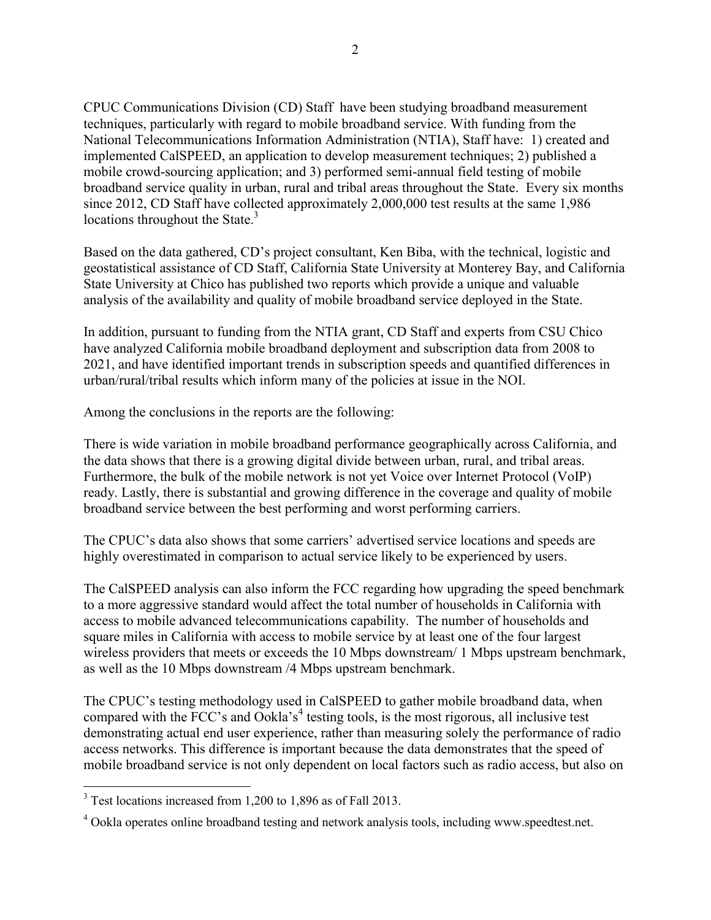CPUC Communications Division (CD) Staff have been studying broadband measurement techniques, particularly with regard to mobile broadband service. With funding from the National Telecommunications Information Administration (NTIA), Staff have: 1) created and implemented CalSPEED, an application to develop measurement techniques; 2) published a mobile crowd-sourcing application; and 3) performed semi-annual field testing of mobile broadband service quality in urban, rural and tribal areas throughout the State. Every six months since 2012, CD Staff have collected approximately 2,000,000 test results at the same 1,986 locations throughout the State.<sup>3</sup>

Based on the data gathered, CD's project consultant, Ken Biba, with the technical, logistic and geostatistical assistance of CD Staff, California State University at Monterey Bay, and California State University at Chico has published two reports which provide a unique and valuable analysis of the availability and quality of mobile broadband service deployed in the State.

In addition, pursuant to funding from the NTIA grant, CD Staff and experts from CSU Chico have analyzed California mobile broadband deployment and subscription data from 2008 to 2021, and have identified important trends in subscription speeds and quantified differences in urban/rural/tribal results which inform many of the policies at issue in the NOI.

Among the conclusions in the reports are the following:

There is wide variation in mobile broadband performance geographically across California, and the data shows that there is a growing digital divide between urban, rural, and tribal areas. Furthermore, the bulk of the mobile network is not yet Voice over Internet Protocol (VoIP) ready. Lastly, there is substantial and growing difference in the coverage and quality of mobile broadband service between the best performing and worst performing carriers.

The CPUC's data also shows that some carriers' advertised service locations and speeds are highly overestimated in comparison to actual service likely to be experienced by users.

The CalSPEED analysis can also inform the FCC regarding how upgrading the speed benchmark to a more aggressive standard would affect the total number of households in California with access to mobile advanced telecommunications capability. The number of households and square miles in California with access to mobile service by at least one of the four largest wireless providers that meets or exceeds the 10 Mbps downstream/ 1 Mbps upstream benchmark, as well as the 10 Mbps downstream /4 Mbps upstream benchmark.

The CPUC's testing methodology used in CalSPEED to gather mobile broadband data, when compared with the FCC's and Ookla's<sup>4</sup> testing tools, is the most rigorous, all inclusive test demonstrating actual end user experience, rather than measuring solely the performance of radio access networks. This difference is important because the data demonstrates that the speed of mobile broadband service is not only dependent on local factors such as radio access, but also on

 $\overline{a}$ 

<sup>&</sup>lt;sup>3</sup> Test locations increased from 1,200 to 1,896 as of Fall 2013.

<sup>&</sup>lt;sup>4</sup> Ookla operates online broadband testing and network analysis tools, including www.speedtest.net.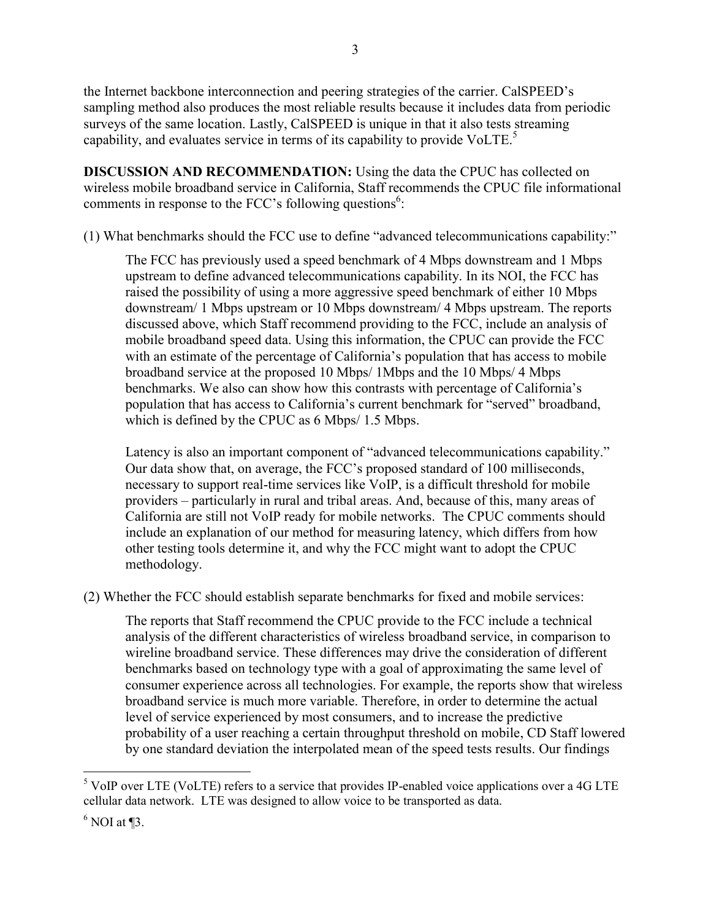the Internet backbone interconnection and peering strategies of the carrier. CalSPEED's sampling method also produces the most reliable results because it includes data from periodic surveys of the same location. Lastly, CalSPEED is unique in that it also tests streaming capability, and evaluates service in terms of its capability to provide VoLTE.<sup>5</sup>

3

**DISCUSSION AND RECOMMENDATION:** Using the data the CPUC has collected on wireless mobile broadband service in California, Staff recommends the CPUC file informational comments in response to the FCC's following questions<sup>6</sup>:

(1) What benchmarks should the FCC use to define "advanced telecommunications capability:"

The FCC has previously used a speed benchmark of 4 Mbps downstream and 1 Mbps upstream to define advanced telecommunications capability. In its NOI, the FCC has raised the possibility of using a more aggressive speed benchmark of either 10 Mbps downstream/ 1 Mbps upstream or 10 Mbps downstream/ 4 Mbps upstream. The reports discussed above, which Staff recommend providing to the FCC, include an analysis of mobile broadband speed data. Using this information, the CPUC can provide the FCC with an estimate of the percentage of California's population that has access to mobile broadband service at the proposed 10 Mbps/ 1Mbps and the 10 Mbps/ 4 Mbps benchmarks. We also can show how this contrasts with percentage of California's population that has access to California's current benchmark for "served" broadband, which is defined by the CPUC as 6 Mbps/ 1.5 Mbps.

Latency is also an important component of "advanced telecommunications capability." Our data show that, on average, the FCC's proposed standard of 100 milliseconds, necessary to support real-time services like VoIP, is a difficult threshold for mobile providers – particularly in rural and tribal areas. And, because of this, many areas of California are still not VoIP ready for mobile networks. The CPUC comments should include an explanation of our method for measuring latency, which differs from how other testing tools determine it, and why the FCC might want to adopt the CPUC methodology.

(2) Whether the FCC should establish separate benchmarks for fixed and mobile services:

The reports that Staff recommend the CPUC provide to the FCC include a technical analysis of the different characteristics of wireless broadband service, in comparison to wireline broadband service. These differences may drive the consideration of different benchmarks based on technology type with a goal of approximating the same level of consumer experience across all technologies. For example, the reports show that wireless broadband service is much more variable. Therefore, in order to determine the actual level of service experienced by most consumers, and to increase the predictive probability of a user reaching a certain throughput threshold on mobile, CD Staff lowered by one standard deviation the interpolated mean of the speed tests results. Our findings

 $\overline{a}$ 

<sup>&</sup>lt;sup>5</sup> VoIP over LTE (VoLTE) refers to a service that provides IP-enabled voice applications over a 4G LTE cellular data network. LTE was designed to allow voice to be transported as data.

 $6$  NOI at ¶3.